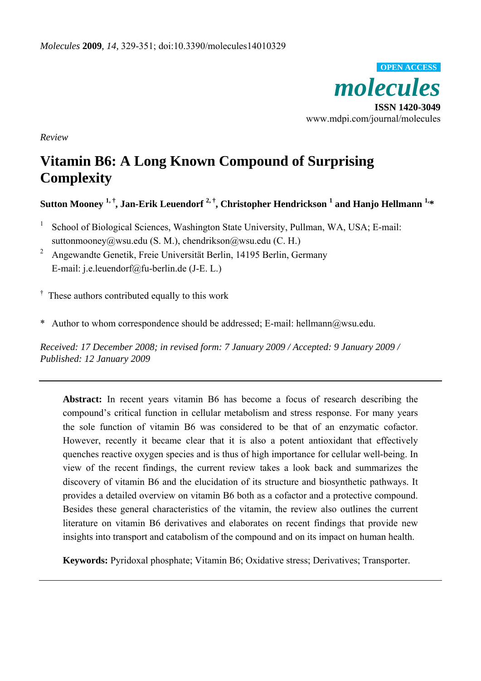

*Review* 

# **Vitamin B6: A Long Known Compound of Surprising Complexity**

 ${\bf S}$ utton Mooney  $^{\bf 1,\dagger}$ , Jan-Erik Leuendorf  $^{\bf 2,\dagger}$ , Christopher Hendrickson  $^{\bf 1}$  and Hanjo Hellmann  $^{\bf 1,\ast}$ 

- 1 School of Biological Sciences, Washington State University, Pullman, WA, USA; E-mail: suttonmooney@wsu.edu (S. M.), chendrikson@wsu.edu (C. H.)
- 2 Angewandte Genetik, Freie Universität Berlin, 14195 Berlin, Germany E-mail: j.e.leuendorf@fu-berlin.de (J-E. L.)

<sup>†</sup> These authors contributed equally to this work

\* Author to whom correspondence should be addressed; E-mail: hellmann@wsu.edu.

*Received: 17 December 2008; in revised form: 7 January 2009 / Accepted: 9 January 2009 / Published: 12 January 2009* 

**Abstract:** In recent years vitamin B6 has become a focus of research describing the compound's critical function in cellular metabolism and stress response. For many years the sole function of vitamin B6 was considered to be that of an enzymatic cofactor. However, recently it became clear that it is also a potent antioxidant that effectively quenches reactive oxygen species and is thus of high importance for cellular well-being. In view of the recent findings, the current review takes a look back and summarizes the discovery of vitamin B6 and the elucidation of its structure and biosynthetic pathways. It provides a detailed overview on vitamin B6 both as a cofactor and a protective compound. Besides these general characteristics of the vitamin, the review also outlines the current literature on vitamin B6 derivatives and elaborates on recent findings that provide new insights into transport and catabolism of the compound and on its impact on human health.

**Keywords:** Pyridoxal phosphate; Vitamin B6; Oxidative stress; Derivatives; Transporter.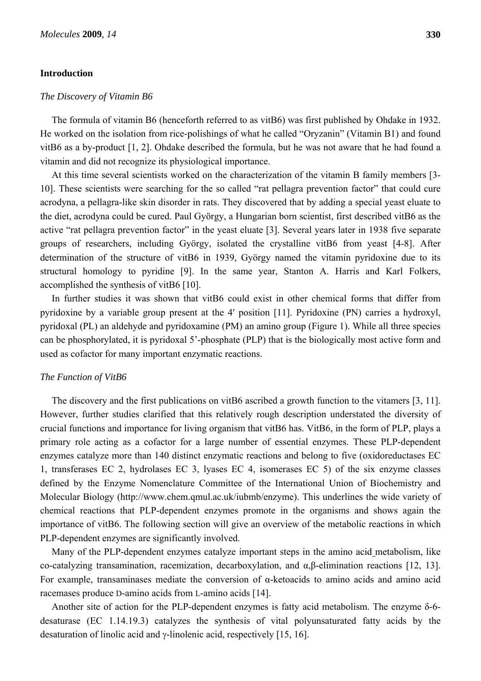#### **Introduction**

#### *The Discovery of Vitamin B6*

The formula of vitamin B6 (henceforth referred to as vitB6) was first published by Ohdake in 1932. He worked on the isolation from rice-polishings of what he called "Oryzanin" (Vitamin B1) and found vitB6 as a by-product [1, 2]. Ohdake described the formula, but he was not aware that he had found a vitamin and did not recognize its physiological importance.

At this time several scientists worked on the characterization of the vitamin B family members [3- 10]. These scientists were searching for the so called "rat pellagra prevention factor" that could cure acrodyna, a pellagra-like skin disorder in rats. They discovered that by adding a special yeast eluate to the diet, acrodyna could be cured. Paul György, a Hungarian born scientist, first described vitB6 as the active "rat pellagra prevention factor" in the yeast eluate [3]. Several years later in 1938 five separate groups of researchers, including György, isolated the crystalline vitB6 from yeast [4-8]. After determination of the structure of vitB6 in 1939, György named the vitamin pyridoxine due to its structural homology to pyridine [9]. In the same year, Stanton A. Harris and Karl Folkers, accomplished the synthesis of vitB6 [10].

In further studies it was shown that vitB6 could exist in other chemical forms that differ from pyridoxine by a variable group present at the 4′ position [11]. Pyridoxine (PN) carries a hydroxyl, pyridoxal (PL) an aldehyde and pyridoxamine (PM) an amino group (Figure 1). While all three species can be phosphorylated, it is pyridoxal 5'-phosphate (PLP) that is the biologically most active form and used as cofactor for many important enzymatic reactions.

#### *The Function of VitB6*

The discovery and the first publications on vitB6 ascribed a growth function to the vitamers [3, 11]. However, further studies clarified that this relatively rough description understated the diversity of crucial functions and importance for living organism that vitB6 has. VitB6, in the form of PLP, plays a primary role acting as a cofactor for a large number of essential enzymes. These PLP-dependent enzymes catalyze more than 140 distinct enzymatic reactions and belong to five (oxidoreductases EC 1, transferases EC 2, hydrolases EC 3, lyases EC 4, isomerases EC 5) of the six enzyme classes defined by the Enzyme Nomenclature Committee of the International Union of Biochemistry and Molecular Biology (http://www.chem.qmul.ac.uk/iubmb/enzyme). This underlines the wide variety of chemical reactions that PLP-dependent enzymes promote in the organisms and shows again the importance of vitB6. The following section will give an overview of the metabolic reactions in which PLP-dependent enzymes are significantly involved.

Many of the PLP-dependent enzymes catalyze important steps in the amino acid metabolism, like co-catalyzing transamination, racemization, decarboxylation, and α,β-elimination reactions [12, 13]. For example, transaminases mediate the conversion of α-ketoacids to amino acids and amino acid racemases produce D-amino acids from L-amino acids [14].

Another site of action for the PLP-dependent enzymes is fatty acid metabolism. The enzyme δ-6 desaturase (EC 1.14.19.3) catalyzes the synthesis of vital polyunsaturated fatty acids by the desaturation of linolic acid and γ-linolenic acid, respectively [15, 16].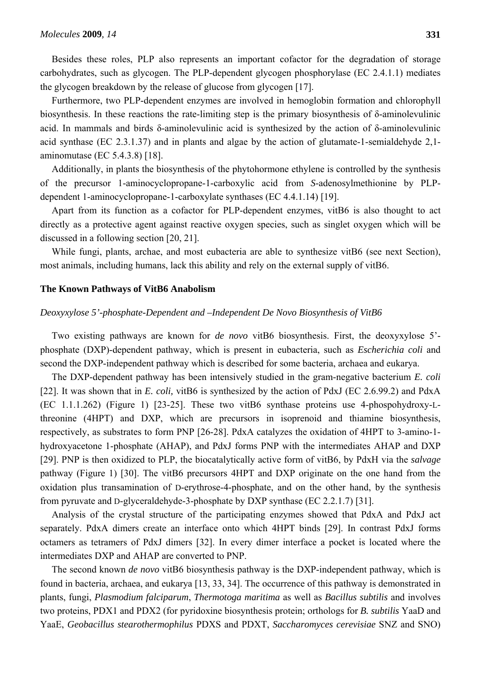Besides these roles, PLP also represents an important cofactor for the degradation of storage carbohydrates, such as glycogen. The PLP-dependent glycogen phosphorylase (EC 2.4.1.1) mediates the glycogen breakdown by the release of glucose from glycogen [17].

Furthermore, two PLP-dependent enzymes are involved in hemoglobin formation and chlorophyll biosynthesis. In these reactions the rate-limiting step is the primary biosynthesis of δ-aminolevulinic acid. In mammals and birds δ-aminolevulinic acid is synthesized by the action of δ-aminolevulinic acid synthase (EC 2.3.1.37) and in plants and algae by the action of glutamate-1-semialdehyde 2,1 aminomutase (EC 5.4.3.8) [18].

Additionally, in plants the biosynthesis of the phytohormone ethylene is controlled by the synthesis of the precursor 1-aminocyclopropane-1-carboxylic acid from *S*-adenosylmethionine by PLPdependent 1-aminocyclopropane-1-carboxylate synthases (EC 4.4.1.14) [19].

Apart from its function as a cofactor for PLP-dependent enzymes, vitB6 is also thought to act directly as a protective agent against reactive oxygen species, such as singlet oxygen which will be discussed in a following section [20, 21].

While fungi, plants, archae, and most eubacteria are able to synthesize vitB6 (see next Section), most animals, including humans, lack this ability and rely on the external supply of vitB6.

#### **The Known Pathways of VitB6 Anabolism**

#### *Deoxyxylose 5'-phosphate-Dependent and –Independent De Novo Biosynthesis of VitB6*

Two existing pathways are known for *de novo* vitB6 biosynthesis. First, the deoxyxylose 5' phosphate (DXP)-dependent pathway, which is present in eubacteria, such as *Escherichia coli* and second the DXP-independent pathway which is described for some bacteria, archaea and eukarya.

The DXP-dependent pathway has been intensively studied in the gram-negative bacterium *E. coli* [22]. It was shown that in *E. coli,* vitB6 is synthesized by the action of PdxJ (EC 2.6.99.2) and PdxA (EC 1.1.1.262) (Figure 1) [23-25]. These two vitB6 synthase proteins use 4-phospohydroxy-Lthreonine (4HPT) and DXP, which are precursors in isoprenoid and thiamine biosynthesis, respectively, as substrates to form PNP [26-28]. PdxA catalyzes the oxidation of 4HPT to 3-amino-1 hydroxyacetone 1-phosphate (AHAP), and PdxJ forms PNP with the intermediates AHAP and DXP [29]. PNP is then oxidized to PLP, the biocatalytically active form of vitB6, by PdxH via the *salvage* pathway (Figure 1) [30]. The vitB6 precursors 4HPT and DXP originate on the one hand from the oxidation plus transamination of D-erythrose-4-phosphate, and on the other hand, by the synthesis from pyruvate and D-glyceraldehyde-3-phosphate by DXP synthase (EC 2.2.1.7) [31].

Analysis of the crystal structure of the participating enzymes showed that PdxA and PdxJ act separately. PdxA dimers create an interface onto which 4HPT binds [29]. In contrast PdxJ forms octamers as tetramers of PdxJ dimers [32]. In every dimer interface a pocket is located where the intermediates DXP and AHAP are converted to PNP.

The second known *de novo* vitB6 biosynthesis pathway is the DXP-independent pathway, which is found in bacteria, archaea, and eukarya [13, 33, 34]. The occurrence of this pathway is demonstrated in plants, fungi, *Plasmodium falciparum*, *Thermotoga maritima* as well as *Bacillus subtilis* and involves two proteins, PDX1 and PDX2 (for pyridoxine biosynthesis protein; orthologs for *B. subtilis* YaaD and YaaE, *Geobacillus stearothermophilus* PDXS and PDXT, *Saccharomyces cerevisiae* SNZ and SNO)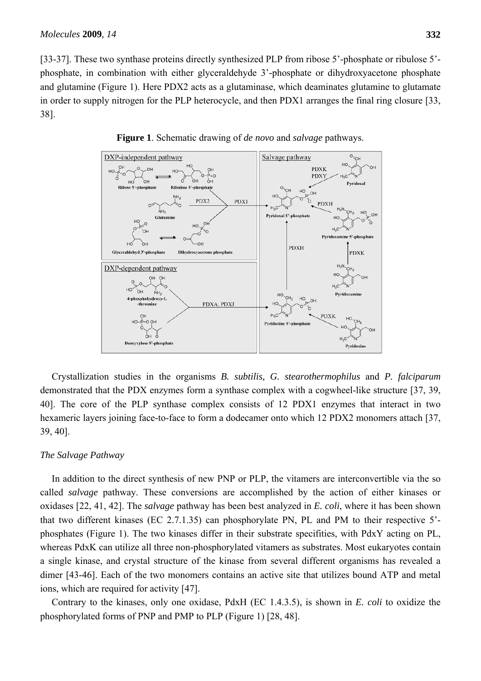[33-37]. These two synthase proteins directly synthesized PLP from ribose 5'-phosphate or ribulose 5' phosphate, in combination with either glyceraldehyde 3'-phosphate or dihydroxyacetone phosphate and glutamine (Figure 1). Here PDX2 acts as a glutaminase, which deaminates glutamine to glutamate in order to supply nitrogen for the PLP heterocycle, and then PDX1 arranges the final ring closure [33, 38].



**Figure 1**. Schematic drawing of *de novo* and *salvage* pathways.

Crystallization studies in the organisms *B. subtilis, G. stearothermophilus* and *P. falciparum* demonstrated that the PDX enzymes form a synthase complex with a cogwheel-like structure [37, 39, 40]. The core of the PLP synthase complex consists of 12 PDX1 enzymes that interact in two hexameric layers joining face-to-face to form a dodecamer onto which 12 PDX2 monomers attach [37, 39, 40].

#### *The Salvage Pathway*

In addition to the direct synthesis of new PNP or PLP, the vitamers are interconvertible via the so called *salvage* pathway. These conversions are accomplished by the action of either kinases or oxidases [22, 41, 42]. The *salvage* pathway has been best analyzed in *E. coli*, where it has been shown that two different kinases (EC 2.7.1.35) can phosphorylate PN, PL and PM to their respective 5' phosphates (Figure 1). The two kinases differ in their substrate specifities, with PdxY acting on PL, whereas PdxK can utilize all three non-phosphorylated vitamers as substrates. Most eukaryotes contain a single kinase, and crystal structure of the kinase from several different organisms has revealed a dimer [43-46]. Each of the two monomers contains an active site that utilizes bound ATP and metal ions, which are required for activity [47].

Contrary to the kinases, only one oxidase, PdxH (EC 1.4.3.5), is shown in *E. coli* to oxidize the phosphorylated forms of PNP and PMP to PLP (Figure 1) [28, 48].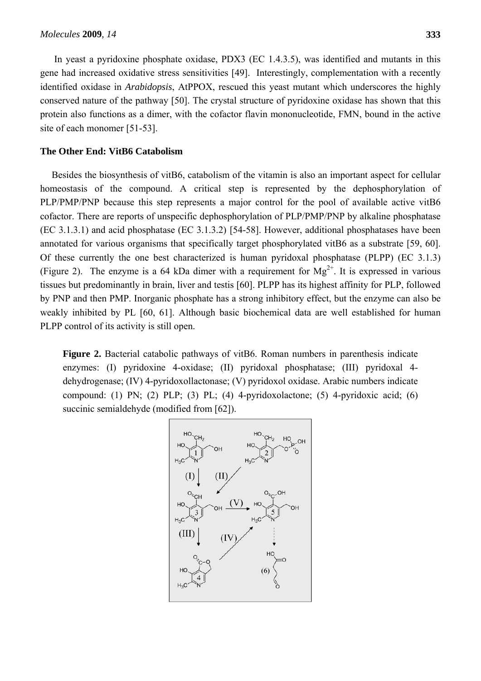In yeast a pyridoxine phosphate oxidase, PDX3 (EC 1.4.3.5), was identified and mutants in this gene had increased oxidative stress sensitivities [49]. Interestingly, complementation with a recently identified oxidase in *Arabidopsis*, AtPPOX, rescued this yeast mutant which underscores the highly conserved nature of the pathway [50]. The crystal structure of pyridoxine oxidase has shown that this protein also functions as a dimer, with the cofactor flavin mononucleotide, FMN, bound in the active site of each monomer [51-53].

# **The Other End: VitB6 Catabolism**

Besides the biosynthesis of vitB6, catabolism of the vitamin is also an important aspect for cellular homeostasis of the compound. A critical step is represented by the dephosphorylation of PLP/PMP/PNP because this step represents a major control for the pool of available active vitB6 cofactor. There are reports of unspecific dephosphorylation of PLP/PMP/PNP by alkaline phosphatase (EC 3.1.3.1) and acid phosphatase (EC 3.1.3.2) [54-58]. However, additional phosphatases have been annotated for various organisms that specifically target phosphorylated vitB6 as a substrate [59, 60]. Of these currently the one best characterized is human pyridoxal phosphatase (PLPP) (EC 3.1.3) (Figure 2). The enzyme is a 64 kDa dimer with a requirement for  $Mg^{2+}$ . It is expressed in various tissues but predominantly in brain, liver and testis [60]. PLPP has its highest affinity for PLP, followed by PNP and then PMP. Inorganic phosphate has a strong inhibitory effect, but the enzyme can also be weakly inhibited by PL [60, 61]. Although basic biochemical data are well established for human PLPP control of its activity is still open.

**Figure 2.** Bacterial catabolic pathways of vitB6. Roman numbers in parenthesis indicate enzymes: (I) pyridoxine 4-oxidase; (II) pyridoxal phosphatase; (III) pyridoxal 4 dehydrogenase; (IV) 4-pyridoxollactonase; (V) pyridoxol oxidase. Arabic numbers indicate compound: (1) PN; (2) PLP; (3) PL; (4) 4-pyridoxolactone; (5) 4-pyridoxic acid; (6) succinic semialdehyde (modified from [62]).

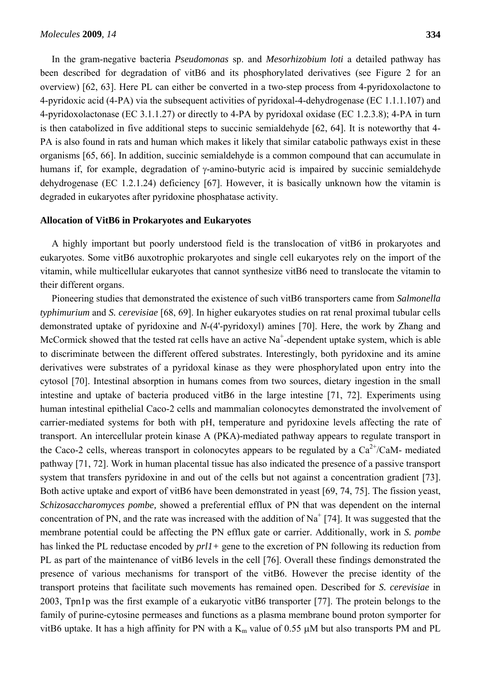In the gram-negative bacteria *Pseudomonas* sp. and *Mesorhizobium loti* a detailed pathway has been described for degradation of vitB6 and its phosphorylated derivatives (see Figure 2 for an overview) [62, 63]. Here PL can either be converted in a two-step process from 4-pyridoxolactone to 4-pyridoxic acid (4-PA) via the subsequent activities of pyridoxal-4-dehydrogenase (EC 1.1.1.107) and 4-pyridoxolactonase (EC 3.1.1.27) or directly to 4-PA by pyridoxal oxidase (EC 1.2.3.8); 4-PA in turn is then catabolized in five additional steps to succinic semialdehyde [62, 64]. It is noteworthy that 4- PA is also found in rats and human which makes it likely that similar catabolic pathways exist in these organisms [65, 66]. In addition, succinic semialdehyde is a common compound that can accumulate in humans if, for example, degradation of γ-amino-butyric acid is impaired by succinic semialdehyde dehydrogenase (EC 1.2.1.24) deficiency [67]. However, it is basically unknown how the vitamin is degraded in eukaryotes after pyridoxine phosphatase activity.

#### **Allocation of VitB6 in Prokaryotes and Eukaryotes**

A highly important but poorly understood field is the translocation of vitB6 in prokaryotes and eukaryotes. Some vitB6 auxotrophic prokaryotes and single cell eukaryotes rely on the import of the vitamin, while multicellular eukaryotes that cannot synthesize vitB6 need to translocate the vitamin to their different organs.

Pioneering studies that demonstrated the existence of such vitB6 transporters came from *Salmonella typhimurium* and *S. cerevisiae* [68, 69]. In higher eukaryotes studies on rat renal proximal tubular cells demonstrated uptake of pyridoxine and *N*-(4'-pyridoxyl) amines [70]. Here, the work by Zhang and McCormick showed that the tested rat cells have an active  $Na^+$ -dependent uptake system, which is able to discriminate between the different offered substrates. Interestingly, both pyridoxine and its amine derivatives were substrates of a pyridoxal kinase as they were phosphorylated upon entry into the cytosol [70]. Intestinal absorption in humans comes from two sources, dietary ingestion in the small intestine and uptake of bacteria produced vitB6 in the large intestine [71, 72]. Experiments using human intestinal epithelial Caco-2 cells and mammalian colonocytes demonstrated the involvement of carrier-mediated systems for both with pH, temperature and pyridoxine levels affecting the rate of transport. An intercellular protein kinase A (PKA)-mediated pathway appears to regulate transport in the Caco-2 cells, whereas transport in colonocytes appears to be regulated by a  $Ca^{2+}/CaM$ - mediated pathway [71, 72]. Work in human placental tissue has also indicated the presence of a passive transport system that transfers pyridoxine in and out of the cells but not against a concentration gradient [73]. Both active uptake and export of vitB6 have been demonstrated in yeast [69, 74, 75]. The fission yeast, *Schizosaccharomyces pombe,* showed a preferential efflux of PN that was dependent on the internal concentration of PN, and the rate was increased with the addition of Na<sup>+</sup> [74]. It was suggested that the membrane potential could be affecting the PN efflux gate or carrier. Additionally, work in *S. pombe* has linked the PL reductase encoded by *prl1+* gene to the excretion of PN following its reduction from PL as part of the maintenance of vitB6 levels in the cell [76]. Overall these findings demonstrated the presence of various mechanisms for transport of the vitB6. However the precise identity of the transport proteins that facilitate such movements has remained open. Described for *S. cerevisiae* in 2003, Tpn1p was the first example of a eukaryotic vitB6 transporter [77]. The protein belongs to the family of purine-cytosine permeases and functions as a plasma membrane bound proton symporter for vitB6 uptake. It has a high affinity for PN with a  $K_m$  value of 0.55  $\mu$ M but also transports PM and PL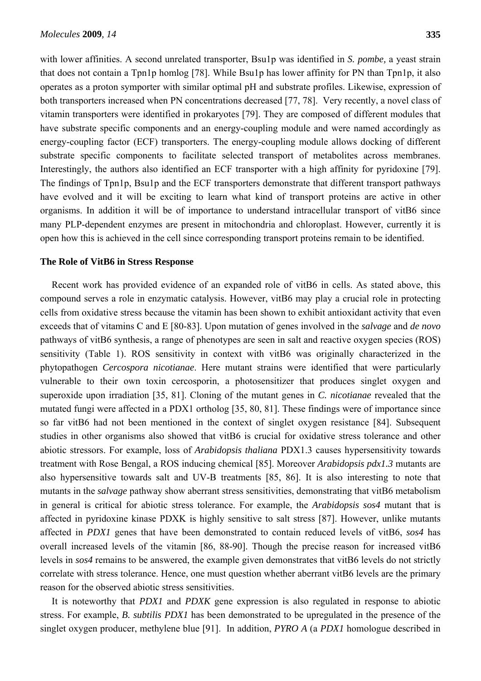with lower affinities. A second unrelated transporter, Bsu1p was identified in *S. pombe,* a yeast strain that does not contain a Tpn1p homlog [78]. While Bsu1p has lower affinity for PN than Tpn1p, it also operates as a proton symporter with similar optimal pH and substrate profiles. Likewise, expression of both transporters increased when PN concentrations decreased [77, 78]. Very recently, a novel class of vitamin transporters were identified in prokaryotes [79]. They are composed of different modules that have substrate specific components and an energy-coupling module and were named accordingly as energy-coupling factor (ECF) transporters. The energy-coupling module allows docking of different substrate specific components to facilitate selected transport of metabolites across membranes. Interestingly, the authors also identified an ECF transporter with a high affinity for pyridoxine [79]. The findings of Tpn1p, Bsu1p and the ECF transporters demonstrate that different transport pathways have evolved and it will be exciting to learn what kind of transport proteins are active in other organisms. In addition it will be of importance to understand intracellular transport of vitB6 since many PLP-dependent enzymes are present in mitochondria and chloroplast. However, currently it is open how this is achieved in the cell since corresponding transport proteins remain to be identified.

# **The Role of VitB6 in Stress Response**

Recent work has provided evidence of an expanded role of vitB6 in cells. As stated above, this compound serves a role in enzymatic catalysis. However, vitB6 may play a crucial role in protecting cells from oxidative stress because the vitamin has been shown to exhibit antioxidant activity that even exceeds that of vitamins C and E [80-83]. Upon mutation of genes involved in the *salvage* and *de novo* pathways of vitB6 synthesis, a range of phenotypes are seen in salt and reactive oxygen species (ROS) sensitivity (Table 1). ROS sensitivity in context with vitB6 was originally characterized in the phytopathogen *Cercospora nicotianae*. Here mutant strains were identified that were particularly vulnerable to their own toxin cercosporin, a photosensitizer that produces singlet oxygen and superoxide upon irradiation [35, 81]. Cloning of the mutant genes in *C. nicotianae* revealed that the mutated fungi were affected in a PDX1 ortholog [35, 80, 81]. These findings were of importance since so far vitB6 had not been mentioned in the context of singlet oxygen resistance [84]. Subsequent studies in other organisms also showed that vitB6 is crucial for oxidative stress tolerance and other abiotic stressors. For example, loss of *Arabidopsis thaliana* PDX1.3 causes hypersensitivity towards treatment with Rose Bengal, a ROS inducing chemical [85]. Moreover *Arabidopsis pdx1.3* mutants are also hypersensitive towards salt and UV-B treatments [85, 86]. It is also interesting to note that mutants in the *salvage* pathway show aberrant stress sensitivities, demonstrating that vitB6 metabolism in general is critical for abiotic stress tolerance. For example, the *Arabidopsis sos4* mutant that is affected in pyridoxine kinase PDXK is highly sensitive to salt stress [87]. However, unlike mutants affected in *PDX1* genes that have been demonstrated to contain reduced levels of vitB6, *sos4* has overall increased levels of the vitamin [86, 88-90]. Though the precise reason for increased vitB6 levels in *sos4* remains to be answered, the example given demonstrates that vitB6 levels do not strictly correlate with stress tolerance. Hence, one must question whether aberrant vitB6 levels are the primary reason for the observed abiotic stress sensitivities.

It is noteworthy that *PDX1* and *PDXK* gene expression is also regulated in response to abiotic stress. For example, *B. subtilis PDX1* has been demonstrated to be upregulated in the presence of the singlet oxygen producer, methylene blue [91]. In addition, *PYRO A* (a *PDX1* homologue described in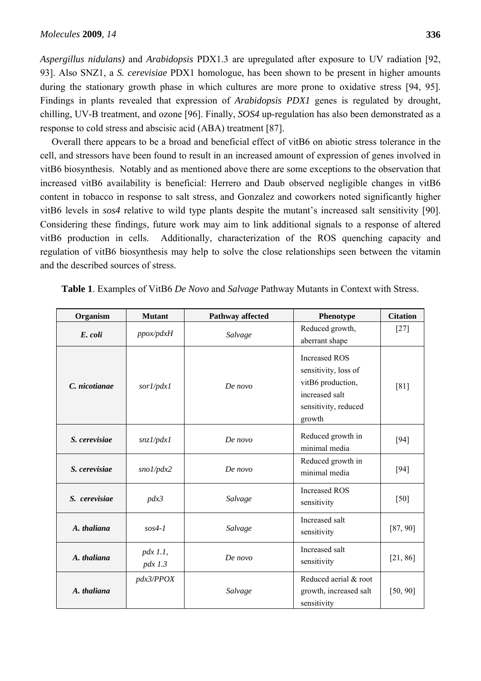*Aspergillus nidulans)* and *Arabidopsis* PDX1.3 are upregulated after exposure to UV radiation [92, 93]. Also SNZ1, a *S. cerevisiae* PDX1 homologue, has been shown to be present in higher amounts during the stationary growth phase in which cultures are more prone to oxidative stress [94, 95]. Findings in plants revealed that expression of *Arabidopsis PDX1* genes is regulated by drought, chilling, UV-B treatment, and ozone [96]. Finally, *SOS4* up-regulation has also been demonstrated as a response to cold stress and abscisic acid (ABA) treatment [87].

Overall there appears to be a broad and beneficial effect of vitB6 on abiotic stress tolerance in the cell, and stressors have been found to result in an increased amount of expression of genes involved in vitB6 biosynthesis. Notably and as mentioned above there are some exceptions to the observation that increased vitB6 availability is beneficial: Herrero and Daub observed negligible changes in vitB6 content in tobacco in response to salt stress, and Gonzalez and coworkers noted significantly higher vitB6 levels in *sos4* relative to wild type plants despite the mutant's increased salt sensitivity [90]. Considering these findings, future work may aim to link additional signals to a response of altered vitB6 production in cells. Additionally, characterization of the ROS quenching capacity and regulation of vitB6 biosynthesis may help to solve the close relationships seen between the vitamin and the described sources of stress.

| Organism      | <b>Mutant</b>           | Pathway affected | Phenotype                                                                                                             | <b>Citation</b> |
|---------------|-------------------------|------------------|-----------------------------------------------------------------------------------------------------------------------|-----------------|
| E. coli       | ppox/pdxH               | Salvage          | Reduced growth,<br>aberrant shape                                                                                     | $[27]$          |
| C. nicotianae | sor1/pdx1               | De novo          | <b>Increased ROS</b><br>sensitivity, loss of<br>vitB6 production,<br>increased salt<br>sensitivity, reduced<br>growth | [81]            |
| S. cerevisiae | snzI/pdxI               | De novo          | Reduced growth in<br>minimal media                                                                                    | $[94]$          |
| S. cerevisiae | snol/pdx2               | De novo          | Reduced growth in<br>minimal media                                                                                    | $[94]$          |
| S. cerevisiae | pdx3                    | Salvage          | <b>Increased ROS</b><br>sensitivity                                                                                   | $[50]$          |
| A. thaliana   | $sos4-1$                | Salvage          | Increased salt<br>sensitivity                                                                                         | [87, 90]        |
| A. thaliana   | $pdx$ 1.1,<br>$pdx$ 1.3 | De novo          | Increased salt<br>sensitivity                                                                                         | [21, 86]        |
| A. thaliana   | pdx3/PPOX               | Salvage          | Reduced aerial & root<br>growth, increased salt<br>sensitivity                                                        | [50, 90]        |

**Table 1**. Examples of VitB6 *De Novo* and *Salvage* Pathway Mutants in Context with Stress.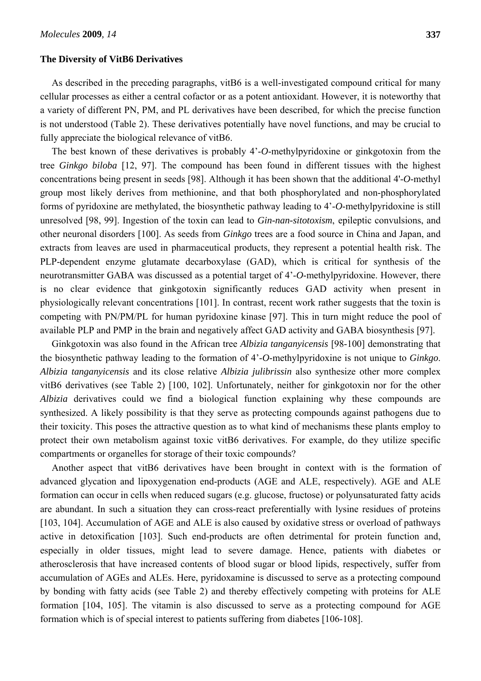#### **The Diversity of VitB6 Derivatives**

As described in the preceding paragraphs, vitB6 is a well-investigated compound critical for many cellular processes as either a central cofactor or as a potent antioxidant. However, it is noteworthy that a variety of different PN, PM, and PL derivatives have been described, for which the precise function is not understood (Table 2). These derivatives potentially have novel functions, and may be crucial to fully appreciate the biological relevance of vitB6.

The best known of these derivatives is probably 4'-*O*-methylpyridoxine or ginkgotoxin from the tree *Ginkgo biloba* [12, 97]. The compound has been found in different tissues with the highest concentrations being present in seeds [98]. Although it has been shown that the additional 4'-*O*-methyl group most likely derives from methionine, and that both phosphorylated and non-phosphorylated forms of pyridoxine are methylated, the biosynthetic pathway leading to 4'-*O*-methylpyridoxine is still unresolved [98, 99]. Ingestion of the toxin can lead to *Gin-nan-sitotoxism*, epileptic convulsions, and other neuronal disorders [100]. As seeds from *Ginkgo* trees are a food source in China and Japan, and extracts from leaves are used in pharmaceutical products, they represent a potential health risk. The PLP-dependent enzyme glutamate decarboxylase (GAD), which is critical for synthesis of the neurotransmitter GABA was discussed as a potential target of 4'-*O*-methylpyridoxine. However, there is no clear evidence that ginkgotoxin significantly reduces GAD activity when present in physiologically relevant concentrations [101]. In contrast, recent work rather suggests that the toxin is competing with PN/PM/PL for human pyridoxine kinase [97]. This in turn might reduce the pool of available PLP and PMP in the brain and negatively affect GAD activity and GABA biosynthesis [97].

Ginkgotoxin was also found in the African tree *Albizia tanganyicensis* [98-100] demonstrating that the biosynthetic pathway leading to the formation of 4'-*O*-methylpyridoxine is not unique to *Ginkgo*. *Albizia tanganyicensis* and its close relative *Albizia julibrissin* also synthesize other more complex vitB6 derivatives (see Table 2) [100, 102]. Unfortunately, neither for ginkgotoxin nor for the other *Albizia* derivatives could we find a biological function explaining why these compounds are synthesized. A likely possibility is that they serve as protecting compounds against pathogens due to their toxicity. This poses the attractive question as to what kind of mechanisms these plants employ to protect their own metabolism against toxic vitB6 derivatives. For example, do they utilize specific compartments or organelles for storage of their toxic compounds?

Another aspect that vitB6 derivatives have been brought in context with is the formation of advanced glycation and lipoxygenation end-products (AGE and ALE, respectively). AGE and ALE formation can occur in cells when reduced sugars (e.g. glucose, fructose) or polyunsaturated fatty acids are abundant. In such a situation they can cross-react preferentially with lysine residues of proteins [103, 104]. Accumulation of AGE and ALE is also caused by oxidative stress or overload of pathways active in detoxification [103]. Such end-products are often detrimental for protein function and, especially in older tissues, might lead to severe damage. Hence, patients with diabetes or atherosclerosis that have increased contents of blood sugar or blood lipids, respectively, suffer from accumulation of AGEs and ALEs. Here, pyridoxamine is discussed to serve as a protecting compound by bonding with fatty acids (see Table 2) and thereby effectively competing with proteins for ALE formation [104, 105]. The vitamin is also discussed to serve as a protecting compound for AGE formation which is of special interest to patients suffering from diabetes [106-108].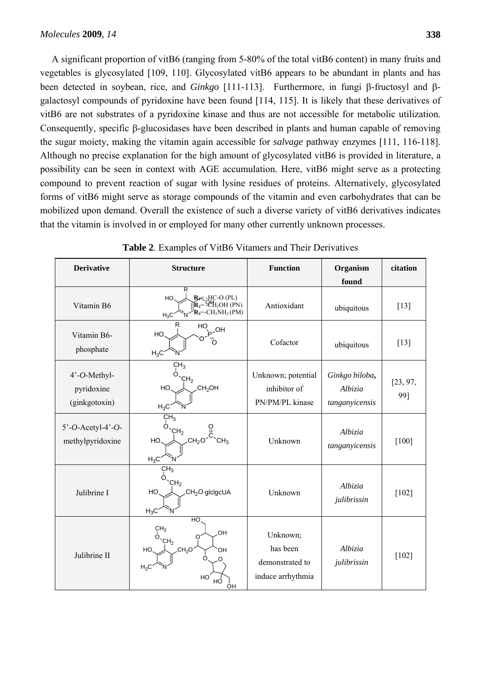A significant proportion of vitB6 (ranging from 5-80% of the total vitB6 content) in many fruits and vegetables is glycosylated [109, 110]. Glycosylated vitB6 appears to be abundant in plants and has been detected in soybean, rice, and *Ginkgo* [111-113]. Furthermore, in fungi β-fructosyl and βgalactosyl compounds of pyridoxine have been found [114, 115]. It is likely that these derivatives of vitB6 are not substrates of a pyridoxine kinase and thus are not accessible for metabolic utilization. Consequently, specific β-glucosidases have been described in plants and human capable of removing the sugar moiety, making the vitamin again accessible for *salvage* pathway enzymes [111, 116-118]. Although no precise explanation for the high amount of glycosylated vitB6 is provided in literature, a possibility can be seen in context with AGE accumulation. Here, vitB6 might serve as a protecting compound to prevent reaction of sugar with lysine residues of proteins. Alternatively, glycosylated forms of vitB6 might serve as storage compounds of the vitamin and even carbohydrates that can be mobilized upon demand. Overall the existence of such a diverse variety of vitB6 derivatives indicates that the vitamin is involved in or employed for many other currently unknown processes.

| <b>Derivative</b>                           | <b>Structure</b>                                                                                                                | <b>Function</b>                                              | Organism<br>found                           | citation        |
|---------------------------------------------|---------------------------------------------------------------------------------------------------------------------------------|--------------------------------------------------------------|---------------------------------------------|-----------------|
| Vitamin B6                                  | R<br>$R_f = HC-O (PL)$<br>HO.<br>$\mathbf{R}_2 = 2H_2OH(PN)$<br>$\mathbf{R}_3$ = CH <sub>2</sub> NH <sub>2</sub> (PM)<br>$H_3C$ | Antioxidant                                                  | ubiquitous                                  | $[13]$          |
| Vitamin B6-<br>phosphate                    | R<br>$HO_{\sim q}^{OHI}$<br>HO<br>้ N<br>$H_3C$                                                                                 | Cofactor                                                     | ubiquitous                                  | $[13]$          |
| 4'-O-Methyl-<br>pyridoxine<br>(ginkgotoxin) | CH <sub>3</sub><br>∩<br>CH <sub>2</sub><br>CH <sub>2</sub> OH<br>HO<br>$H_3C$                                                   | Unknown; potential<br>inhibitor of<br>PN/PM/PL kinase        | Ginkgo biloba,<br>Albizia<br>tanganyicensis | [23, 97,<br>99] |
| $5'-O$ -Acetyl-4'-O-<br>methylpyridoxine    | CH <sub>3</sub><br>$O$ <sub>CH<sub>2</sub></sub><br>CH <sub>2</sub> O<br>HO.<br>$H_3C$                                          | Unknown                                                      | Albizia<br>tanganyicensis                   | $[100]$         |
| Julibrine I                                 | $\overline{\text{CH}}_3$<br>O.<br>CH <sub>2</sub><br>CH <sub>2</sub> O-glclgcUA<br>HO<br>$H_3C$                                 | Unknown                                                      | Albizia<br>julibrissin                      | $[102]$         |
| Julibrine II                                | HO<br>CH <sub>3</sub><br>OH<br>$O$ <sub>CH<sub>2</sub></sub><br>∩<br>CH <sub>2</sub> O<br>HO<br>ЮH<br>$H_3C$<br>HO<br>HО<br>OН  | Unknown;<br>has been<br>demonstrated to<br>induce arrhythmia | Albizia<br>julibrissin                      | $[102]$         |

**Table 2**. Examples of VitB6 Vitamers and Their Derivatives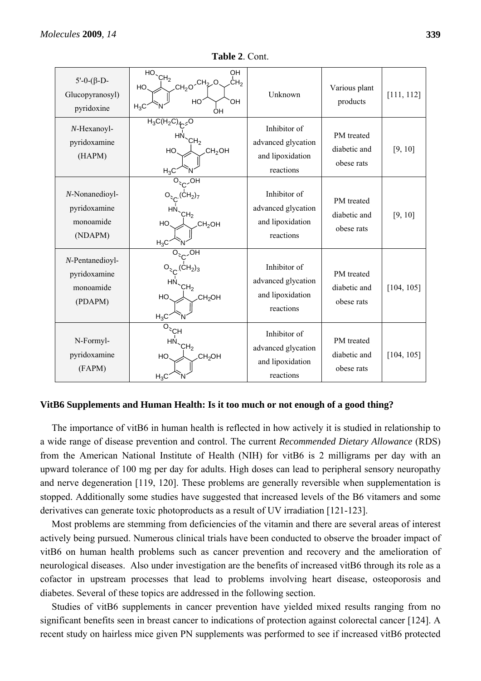| $5'-0-(\beta-D-$<br>Glucopyranosyl)<br>pyridoxine       | OH<br>$\overline{HO}$ <sup>CH<sub>2</sub></sup><br>CH <sub>2</sub><br>$CH_2O$ <sup>CH<sub>2</sub>O</sup><br>HO.<br>ЮH<br>HO<br>$H_3C$<br>ÒН | Unknown                                                             | Various plant<br>products                | [111, 112] |
|---------------------------------------------------------|---------------------------------------------------------------------------------------------------------------------------------------------|---------------------------------------------------------------------|------------------------------------------|------------|
| $N$ -Hexanoyl-<br>pyridoxamine<br>(HAPM)                | $H_3C(H_2C)4r$ <sub>2</sub> O<br>ΗN<br>CH <sub>2</sub><br>CH <sub>2</sub> OH<br>HO.<br>$H_3C$                                               | Inhibitor of<br>advanced glycation<br>and lipoxidation<br>reactions | PM treated<br>diabetic and<br>obese rats | [9, 10]    |
| N-Nonanedioyl-<br>pyridoxamine<br>monoamide<br>(NDAPM)  | ЮH<br>$\left(\mathsf{CH}_2\right)_7$<br>нı<br>CH <sub>2</sub><br>HO<br>CH <sub>2</sub> OH<br>$H_3C$                                         | Inhibitor of<br>advanced glycation<br>and lipoxidation<br>reactions | PM treated<br>diabetic and<br>obese rats | [9, 10]    |
| N-Pentanedioyl-<br>pyridoxamine<br>monoamide<br>(PDAPM) | .OH<br>$O_{C}$ (CH <sub>2</sub> ) <sub>3</sub><br>ΗN<br>CH <sub>2</sub><br>HO<br>CH <sub>2</sub> OH<br>$H_3C$                               | Inhibitor of<br>advanced glycation<br>and lipoxidation<br>reactions | PM treated<br>diabetic and<br>obese rats | [104, 105] |
| N-Formyl-<br>pyridoxamine<br>(FAPM)                     | $\overline{O}$ <sub>CH</sub><br>HN.<br>CH <sub>2</sub><br>HO<br>.CH <sub>2</sub> OH<br>$H_3C$                                               | Inhibitor of<br>advanced glycation<br>and lipoxidation<br>reactions | PM treated<br>diabetic and<br>obese rats | [104, 105] |

**Table 2**. Cont.

#### **VitB6 Supplements and Human Health: Is it too much or not enough of a good thing?**

The importance of vitB6 in human health is reflected in how actively it is studied in relationship to a wide range of disease prevention and control. The current *Recommended Dietary Allowance* (RDS) from the American National Institute of Health (NIH) for vitB6 is 2 milligrams per day with an upward tolerance of 100 mg per day for adults. High doses can lead to peripheral sensory neuropathy and nerve degeneration [119, 120]. These problems are generally reversible when supplementation is stopped. Additionally some studies have suggested that increased levels of the B6 vitamers and some derivatives can generate toxic photoproducts as a result of UV irradiation [121-123].

Most problems are stemming from deficiencies of the vitamin and there are several areas of interest actively being pursued. Numerous clinical trials have been conducted to observe the broader impact of vitB6 on human health problems such as cancer prevention and recovery and the amelioration of neurological diseases. Also under investigation are the benefits of increased vitB6 through its role as a cofactor in upstream processes that lead to problems involving heart disease, osteoporosis and diabetes. Several of these topics are addressed in the following section.

Studies of vitB6 supplements in cancer prevention have yielded mixed results ranging from no significant benefits seen in breast cancer to indications of protection against colorectal cancer [124]. A recent study on hairless mice given PN supplements was performed to see if increased vitB6 protected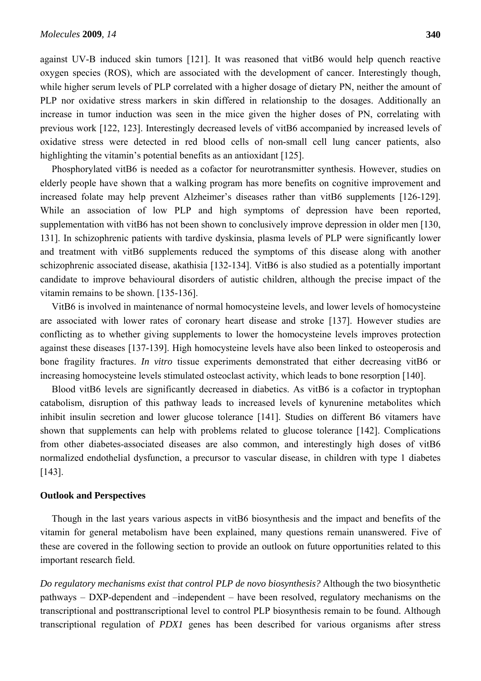against UV-B induced skin tumors [121]. It was reasoned that vitB6 would help quench reactive oxygen species (ROS), which are associated with the development of cancer. Interestingly though, while higher serum levels of PLP correlated with a higher dosage of dietary PN, neither the amount of PLP nor oxidative stress markers in skin differed in relationship to the dosages. Additionally an increase in tumor induction was seen in the mice given the higher doses of PN, correlating with previous work [122, 123]. Interestingly decreased levels of vitB6 accompanied by increased levels of oxidative stress were detected in red blood cells of non-small cell lung cancer patients, also highlighting the vitamin's potential benefits as an antioxidant [125].

Phosphorylated vitB6 is needed as a cofactor for neurotransmitter synthesis. However, studies on elderly people have shown that a walking program has more benefits on cognitive improvement and increased folate may help prevent Alzheimer's diseases rather than vitB6 supplements [126-129]. While an association of low PLP and high symptoms of depression have been reported, supplementation with vitB6 has not been shown to conclusively improve depression in older men [130, 131]. In schizophrenic patients with tardive dyskinsia, plasma levels of PLP were significantly lower and treatment with vitB6 supplements reduced the symptoms of this disease along with another schizophrenic associated disease, akathisia [132-134]. VitB6 is also studied as a potentially important candidate to improve behavioural disorders of autistic children, although the precise impact of the vitamin remains to be shown. [135-136].

VitB6 is involved in maintenance of normal homocysteine levels, and lower levels of homocysteine are associated with lower rates of coronary heart disease and stroke [137]. However studies are conflicting as to whether giving supplements to lower the homocysteine levels improves protection against these diseases [137-139]. High homocysteine levels have also been linked to osteoperosis and bone fragility fractures. *In vitro* tissue experiments demonstrated that either decreasing vitB6 or increasing homocysteine levels stimulated osteoclast activity, which leads to bone resorption [140].

Blood vitB6 levels are significantly decreased in diabetics. As vitB6 is a cofactor in tryptophan catabolism, disruption of this pathway leads to increased levels of kynurenine metabolites which inhibit insulin secretion and lower glucose tolerance [141]. Studies on different B6 vitamers have shown that supplements can help with problems related to glucose tolerance [142]. Complications from other diabetes-associated diseases are also common, and interestingly high doses of vitB6 normalized endothelial dysfunction, a precursor to vascular disease, in children with type 1 diabetes [143].

## **Outlook and Perspectives**

Though in the last years various aspects in vitB6 biosynthesis and the impact and benefits of the vitamin for general metabolism have been explained, many questions remain unanswered. Five of these are covered in the following section to provide an outlook on future opportunities related to this important research field.

*Do regulatory mechanisms exist that control PLP de novo biosynthesis?* Although the two biosynthetic pathways – DXP-dependent and –independent – have been resolved, regulatory mechanisms on the transcriptional and posttranscriptional level to control PLP biosynthesis remain to be found. Although transcriptional regulation of *PDX1* genes has been described for various organisms after stress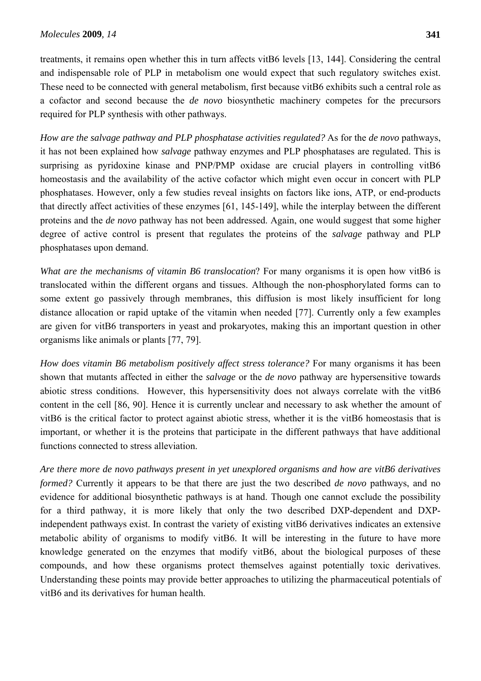treatments, it remains open whether this in turn affects vitB6 levels [13, 144]. Considering the central and indispensable role of PLP in metabolism one would expect that such regulatory switches exist. These need to be connected with general metabolism, first because vitB6 exhibits such a central role as a cofactor and second because the *de novo* biosynthetic machinery competes for the precursors required for PLP synthesis with other pathways.

*How are the salvage pathway and PLP phosphatase activities regulated?* As for the *de novo* pathways, it has not been explained how *salvage* pathway enzymes and PLP phosphatases are regulated. This is surprising as pyridoxine kinase and PNP/PMP oxidase are crucial players in controlling vitB6 homeostasis and the availability of the active cofactor which might even occur in concert with PLP phosphatases. However, only a few studies reveal insights on factors like ions, ATP, or end-products that directly affect activities of these enzymes [61, 145-149], while the interplay between the different proteins and the *de novo* pathway has not been addressed. Again, one would suggest that some higher degree of active control is present that regulates the proteins of the *salvage* pathway and PLP phosphatases upon demand.

*What are the mechanisms of vitamin B6 translocation*? For many organisms it is open how vitB6 is translocated within the different organs and tissues. Although the non-phosphorylated forms can to some extent go passively through membranes, this diffusion is most likely insufficient for long distance allocation or rapid uptake of the vitamin when needed [77]. Currently only a few examples are given for vitB6 transporters in yeast and prokaryotes, making this an important question in other organisms like animals or plants [77, 79].

*How does vitamin B6 metabolism positively affect stress tolerance?* For many organisms it has been shown that mutants affected in either the *salvage* or the *de novo* pathway are hypersensitive towards abiotic stress conditions. However, this hypersensitivity does not always correlate with the vitB6 content in the cell [86, 90]. Hence it is currently unclear and necessary to ask whether the amount of vitB6 is the critical factor to protect against abiotic stress, whether it is the vitB6 homeostasis that is important, or whether it is the proteins that participate in the different pathways that have additional functions connected to stress alleviation.

*Are there more de novo pathways present in yet unexplored organisms and how are vitB6 derivatives formed?* Currently it appears to be that there are just the two described *de novo* pathways, and no evidence for additional biosynthetic pathways is at hand. Though one cannot exclude the possibility for a third pathway, it is more likely that only the two described DXP-dependent and DXPindependent pathways exist. In contrast the variety of existing vitB6 derivatives indicates an extensive metabolic ability of organisms to modify vitB6. It will be interesting in the future to have more knowledge generated on the enzymes that modify vitB6, about the biological purposes of these compounds, and how these organisms protect themselves against potentially toxic derivatives. Understanding these points may provide better approaches to utilizing the pharmaceutical potentials of vitB6 and its derivatives for human health.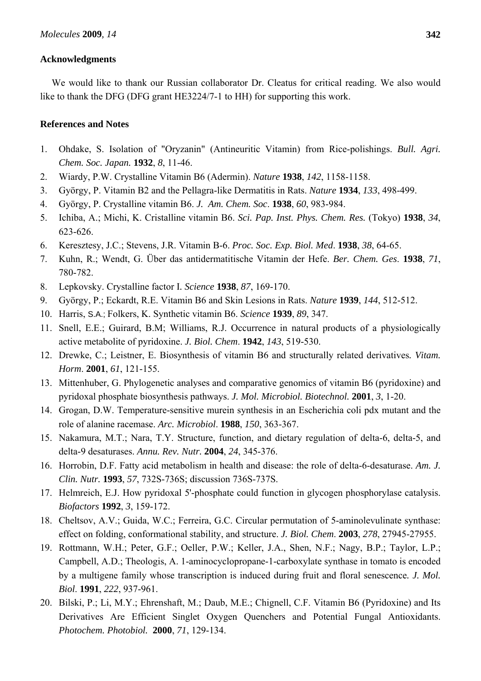## **Acknowledgments**

We would like to thank our Russian collaborator Dr. Cleatus for critical reading. We also would like to thank the DFG (DFG grant HE3224/7-1 to HH) for supporting this work.

## **References and Notes**

- 1. Ohdake, S. Isolation of "Oryzanin" (Antineuritic Vitamin) from Rice-polishings. *Bull. Agri. Chem. Soc. Japan.* **1932**, *8*, 11-46.
- 2. Wiardy, P.W. Crystalline Vitamin B6 (Adermin). *Nature* **1938**, *142*, 1158-1158.
- 3. György, P. Vitamin B2 and the Pellagra-like Dermatitis in Rats. *Nature* **1934**, *133*, 498-499.
- 4. György, P. Crystalline vitamin B6. *J. Am. Chem. Soc*. **1938**, *60*, 983-984.
- 5. Ichiba, A.; Michi, K. Cristalline vitamin B6. *Sci. Pap. Inst. Phys. Chem. Res.* (Tokyo) **1938**, *34*, 623-626.
- 6. Keresztesy, J.C.; Stevens, J.R. Vitamin B-6. *Proc. Soc. Exp. Biol. Med*. **1938**, *38*, 64-65.
- 7. Kuhn, R.; Wendt, G. Über das antidermatitische Vitamin der Hefe. *Ber. Chem. Ges*. **1938**, *71*, 780-782.
- 8. Lepkovsky. Crystalline factor I*. Science* **1938**, *87*, 169-170.
- 9. György, P.; Eckardt, R.E. Vitamin B6 and Skin Lesions in Rats. *Nature* **1939**, *144*, 512-512.
- 10. Harris, S.A.; Folkers, K. Synthetic vitamin B6. *Science* **1939**, *89*, 347.
- 11. Snell, E.E.; Guirard, B.M; Williams, R.J. Occurrence in natural products of a physiologically active metabolite of pyridoxine. *J. Biol. Chem*. **1942**, *143*, 519-530.
- 12. Drewke, C.; Leistner, E. Biosynthesis of vitamin B6 and structurally related derivatives*. Vitam. Horm*. **2001**, *61*, 121-155.
- 13. Mittenhuber, G. Phylogenetic analyses and comparative genomics of vitamin B6 (pyridoxine) and pyridoxal phosphate biosynthesis pathways. *J. Mol. Microbiol. Biotechnol.* **2001**, *3*, 1-20.
- 14. Grogan, D.W. Temperature-sensitive murein synthesis in an Escherichia coli pdx mutant and the role of alanine racemase. *Arc. Microbiol*. **1988**, *150*, 363-367.
- 15. Nakamura, M.T.; Nara, T.Y. Structure, function, and dietary regulation of delta-6, delta-5, and delta-9 desaturases. *Annu. Rev. Nutr.* **2004**, *24*, 345-376.
- 16. Horrobin, D.F. Fatty acid metabolism in health and disease: the role of delta-6-desaturase. *Am. J. Clin. Nutr.* **1993**, *57*, 732S-736S; discussion 736S-737S.
- 17. Helmreich, E.J. How pyridoxal 5'-phosphate could function in glycogen phosphorylase catalysis. *Biofactors* **1992**, *3*, 159-172.
- 18. Cheltsov, A.V.; Guida, W.C.; Ferreira, G.C. Circular permutation of 5-aminolevulinate synthase: effect on folding, conformational stability, and structure. *J. Biol. Chem*. **2003**, *278*, 27945-27955.
- 19. Rottmann, W.H.; Peter, G.F.; Oeller, P.W.; Keller, J.A., Shen, N.F.; Nagy, B.P.; Taylor, L.P.; Campbell, A.D.; Theologis, A. 1-aminocyclopropane-1-carboxylate synthase in tomato is encoded by a multigene family whose transcription is induced during fruit and floral senescence*. J. Mol. Biol*. **1991**, *222*, 937-961.
- 20. Bilski, P.; Li, M.Y.; Ehrenshaft, M.; Daub, M.E.; Chignell, C.F. Vitamin B6 (Pyridoxine) and Its Derivatives Are Efficient Singlet Oxygen Quenchers and Potential Fungal Antioxidants. *Photochem. Photobiol.* **2000**, *71*, 129-134.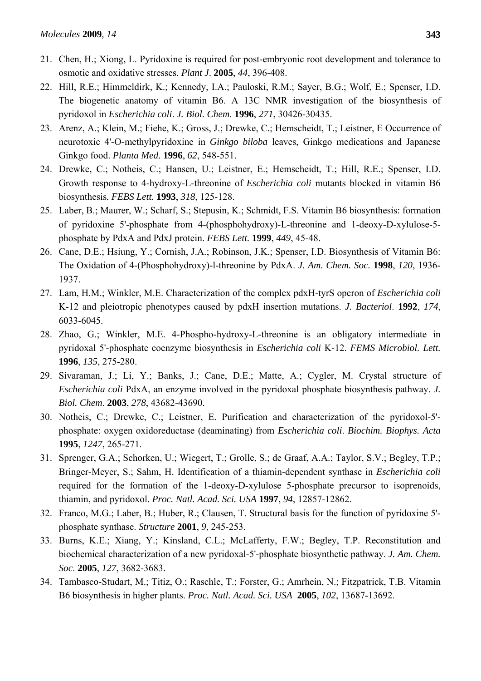- 21. Chen, H.; Xiong, L. Pyridoxine is required for post-embryonic root development and tolerance to osmotic and oxidative stresses. *Plant J*. **2005**, *44*, 396-408.
- 22. Hill, R.E.; Himmeldirk, K.; Kennedy, I.A.; Pauloski, R.M.; Sayer, B.G.; Wolf, E.; Spenser, I.D. The biogenetic anatomy of vitamin B6. A 13C NMR investigation of the biosynthesis of pyridoxol in *Escherichia coli*. *J. Biol. Chem*. **1996**, *271*, 30426-30435.
- 23. Arenz, A.; Klein, M.; Fiehe, K.; Gross, J.; Drewke, C.; Hemscheidt, T.; Leistner, E Occurrence of neurotoxic 4'-O-methylpyridoxine in *Ginkgo biloba* leaves, Ginkgo medications and Japanese Ginkgo food. *Planta Med.* **1996**, *62*, 548-551.
- 24. Drewke, C.; Notheis, C.; Hansen, U.; Leistner, E.; Hemscheidt, T.; Hill, R.E.; Spenser, I.D. Growth response to 4-hydroxy-L-threonine of *Escherichia coli* mutants blocked in vitamin B6 biosynthesis*. FEBS Lett.* **1993**, *318*, 125-128.
- 25. Laber, B.; Maurer, W.; Scharf, S.; Stepusin, K.; Schmidt, F.S. Vitamin B6 biosynthesis: formation of pyridoxine 5'-phosphate from 4-(phosphohydroxy)-L-threonine and 1-deoxy-D-xylulose-5 phosphate by PdxA and PdxJ protein. *FEBS Lett.* **1999**, *449*, 45-48.
- 26. Cane, D.E.; Hsiung, Y.; Cornish, J.A.; Robinson, J.K.; Spenser, I.D. Biosynthesis of Vitamin B6: The Oxidation of 4-(Phosphohydroxy)-l-threonine by PdxA. *J. Am. Chem. Soc.* **1998**, *120*, 1936- 1937.
- 27. Lam, H.M.; Winkler, M.E. Characterization of the complex pdxH-tyrS operon of *Escherichia coli* K-12 and pleiotropic phenotypes caused by pdxH insertion mutations. *J. Bacteriol*. **1992**, *174*, 6033-6045.
- 28. Zhao, G.; Winkler, M.E. 4-Phospho-hydroxy-L-threonine is an obligatory intermediate in pyridoxal 5'-phosphate coenzyme biosynthesis in *Escherichia coli* K-12. *FEMS Microbiol. Lett.* **1996**, *135*, 275-280.
- 29. Sivaraman, J.; Li, Y.; Banks, J.; Cane, D.E.; Matte, A.; Cygler, M. Crystal structure of *Escherichia coli* PdxA, an enzyme involved in the pyridoxal phosphate biosynthesis pathway. *J. Biol. Chem*. **2003**, *278*, 43682-43690.
- 30. Notheis, C.; Drewke, C.; Leistner, E. Purification and characterization of the pyridoxol-5' phosphate: oxygen oxidoreductase (deaminating) from *Escherichia coli*. *Biochim. Biophys. Acta*  **1995**, *1247*, 265-271.
- 31. Sprenger, G.A.; Schorken, U.; Wiegert, T.; Grolle, S.; de Graaf, A.A.; Taylor, S.V.; Begley, T.P.; Bringer-Meyer, S.; Sahm, H. Identification of a thiamin-dependent synthase in *Escherichia coli* required for the formation of the 1-deoxy-D-xylulose 5-phosphate precursor to isoprenoids, thiamin, and pyridoxol. *Proc. Natl. Acad. Sci. USA* **1997**, *94*, 12857-12862.
- 32. Franco, M.G.; Laber, B.; Huber, R.; Clausen, T. Structural basis for the function of pyridoxine 5' phosphate synthase. *Structure* **2001**, *9*, 245-253.
- 33. Burns, K.E.; Xiang, Y.; Kinsland, C.L.; McLafferty, F.W.; Begley, T.P. Reconstitution and biochemical characterization of a new pyridoxal-5'-phosphate biosynthetic pathway. *J. Am. Chem. Soc*. **2005**, *127*, 3682-3683.
- 34. Tambasco-Studart, M.; Titiz, O.; Raschle, T.; Forster, G.; Amrhein, N.; Fitzpatrick, T.B. Vitamin B6 biosynthesis in higher plants. *Proc. Natl. Acad. Sci. USA* **2005**, *102*, 13687-13692.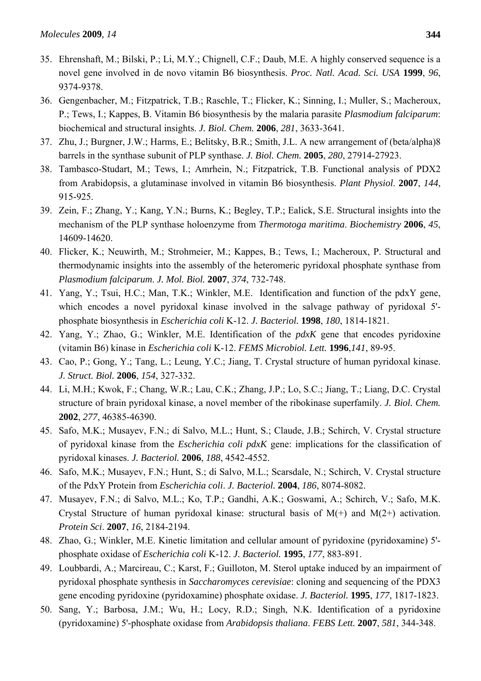- 35. Ehrenshaft, M.; Bilski, P.; Li, M.Y.; Chignell, C.F.; Daub, M.E. A highly conserved sequence is a novel gene involved in de novo vitamin B6 biosynthesis. *Proc. Natl. Acad. Sci. USA* **1999**, *96*, 9374-9378.
- 36. Gengenbacher, M.; Fitzpatrick, T.B.; Raschle, T.; Flicker, K.; Sinning, I.; Muller, S.; Macheroux, P.; Tews, I.; Kappes, B. Vitamin B6 biosynthesis by the malaria parasite *Plasmodium falciparum*: biochemical and structural insights. *J. Biol. Chem.* **2006**, *281*, 3633-3641.
- 37. Zhu, J.; Burgner, J.W.; Harms, E.; Belitsky, B.R.; Smith, J.L. A new arrangement of (beta/alpha)8 barrels in the synthase subunit of PLP synthase. *J. Biol. Chem.* **2005**, *280*, 27914-27923.
- 38. Tambasco-Studart, M.; Tews, I.; Amrhein, N.; Fitzpatrick, T.B. Functional analysis of PDX2 from Arabidopsis, a glutaminase involved in vitamin B6 biosynthesis. *Plant Physiol*. **2007**, *144*, 915-925.
- 39. Zein, F.; Zhang, Y.; Kang, Y.N.; Burns, K.; Begley, T.P.; Ealick, S.E. Structural insights into the mechanism of the PLP synthase holoenzyme from *Thermotoga maritima*. *Biochemistry* **2006**, *45*, 14609-14620.
- 40. Flicker, K.; Neuwirth, M.; Strohmeier, M.; Kappes, B.; Tews, I.; Macheroux, P. Structural and thermodynamic insights into the assembly of the heteromeric pyridoxal phosphate synthase from *Plasmodium falciparum*. *J. Mol. Biol.* **2007**, *374*, 732-748.
- 41. Yang, Y.; Tsui, H.C.; Man, T.K.; Winkler, M.E. Identification and function of the pdxY gene, which encodes a novel pyridoxal kinase involved in the salvage pathway of pyridoxal 5' phosphate biosynthesis in *Escherichia coli* K-12. *J. Bacteriol.* **1998**, *180*, 1814-1821.
- 42. Yang, Y.; Zhao, G.; Winkler, M.E. Identification of the *pdxK* gene that encodes pyridoxine (vitamin B6) kinase in *Escherichia coli* K-12. *FEMS Microbiol. Lett.* **1996**,*141*, 89-95.
- 43. Cao, P.; Gong, Y.; Tang, L.; Leung, Y.C.; Jiang, T. Crystal structure of human pyridoxal kinase. *J. Struct. Biol.* **2006**, *154*, 327-332.
- 44. Li, M.H.; Kwok, F.; Chang, W.R.; Lau, C.K.; Zhang, J.P.; Lo, S.C.; Jiang, T.; Liang, D.C. Crystal structure of brain pyridoxal kinase, a novel member of the ribokinase superfamily. *J. Biol. Chem.* **2002**, *277*, 46385-46390.
- 45. Safo, M.K.; Musayev, F.N.; di Salvo, M.L.; Hunt, S.; Claude, J.B.; Schirch, V. Crystal structure of pyridoxal kinase from the *Escherichia coli pdxK* gene: implications for the classification of pyridoxal kinases. *J. Bacteriol.* **2006**, *188*, 4542-4552.
- 46. Safo, M.K.; Musayev, F.N.; Hunt, S.; di Salvo, M.L.; Scarsdale, N.; Schirch, V. Crystal structure of the PdxY Protein from *Escherichia coli*. *J. Bacteriol.* **2004**, *186*, 8074-8082.
- 47. Musayev, F.N.; di Salvo, M.L.; Ko, T.P.; Gandhi, A.K.; Goswami, A.; Schirch, V.; Safo, M.K. Crystal Structure of human pyridoxal kinase: structural basis of  $M(+)$  and  $M(2+)$  activation. *Protein Sci*. **2007**, *16*, 2184-2194.
- 48. Zhao, G.; Winkler, M.E. Kinetic limitation and cellular amount of pyridoxine (pyridoxamine) 5' phosphate oxidase of *Escherichia coli* K-12. *J. Bacteriol.* **1995**, *177*, 883-891.
- 49. Loubbardi, A.; Marcireau, C.; Karst, F.; Guilloton, M. Sterol uptake induced by an impairment of pyridoxal phosphate synthesis in *Saccharomyces cerevisiae*: cloning and sequencing of the PDX3 gene encoding pyridoxine (pyridoxamine) phosphate oxidase. *J. Bacteriol.* **1995**, *177*, 1817-1823.
- 50. Sang, Y.; Barbosa, J.M.; Wu, H.; Locy, R.D.; Singh, N.K. Identification of a pyridoxine (pyridoxamine) 5'-phosphate oxidase from *Arabidopsis thaliana*. *FEBS Lett.* **2007**, *581*, 344-348.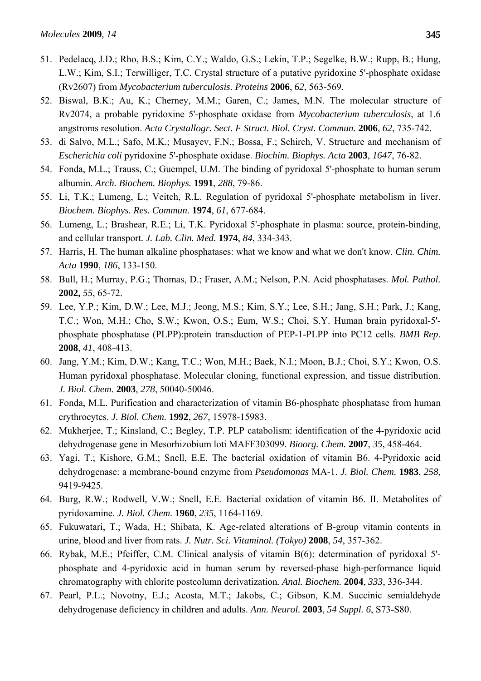- 51. Pedelacq, J.D.; Rho, B.S.; Kim, C.Y.; Waldo, G.S.; Lekin, T.P.; Segelke, B.W.; Rupp, B.; Hung, L.W.; Kim, S.I.; Terwilliger, T.C. Crystal structure of a putative pyridoxine 5'-phosphate oxidase (Rv2607) from *Mycobacterium tuberculosis*. *Proteins* **2006**, *62*, 563-569.
- 52. Biswal, B.K.; Au, K.; Cherney, M.M.; Garen, C.; James, M.N. The molecular structure of Rv2074, a probable pyridoxine 5'-phosphate oxidase from *Mycobacterium tuberculosis*, at 1.6 angstroms resolution. *Acta Crystallogr. Sect. F Struct. Biol. Cryst. Commun.* **2006**, *62*, 735-742.
- 53. di Salvo, M.L.; Safo, M.K.; Musayev, F.N.; Bossa, F.; Schirch, V. Structure and mechanism of *Escherichia coli* pyridoxine 5'-phosphate oxidase. *Biochim. Biophys. Acta* **2003**, *1647*, 76-82.
- 54. Fonda, M.L.; Trauss, C.; Guempel, U.M. The binding of pyridoxal 5'-phosphate to human serum albumin. *Arch. Biochem. Biophys.* **1991**, *288*, 79-86.
- 55. Li, T.K.; Lumeng, L.; Veitch, R.L. Regulation of pyridoxal 5'-phosphate metabolism in liver. *Biochem. Biophys. Res. Commun.* **1974**, *61*, 677-684.
- 56. Lumeng, L.; Brashear, R.E.; Li, T.K. Pyridoxal 5'-phosphate in plasma: source, protein-binding, and cellular transport*. J. Lab. Clin. Med.* **1974**, *84*, 334-343.
- 57. Harris, H. The human alkaline phosphatases: what we know and what we don't know. *Clin. Chim. Acta* **1990**, *186*, 133-150.
- 58. Bull, H.; Murray, P.G.; Thomas, D.; Fraser, A.M.; Nelson, P.N. Acid phosphatases. *Mol. Pathol.* **2002,** *55*, 65-72.
- 59. Lee, Y.P.; Kim, D.W.; Lee, M.J.; Jeong, M.S.; Kim, S.Y.; Lee, S.H.; Jang, S.H.; Park, J.; Kang, T.C.; Won, M.H.; Cho, S.W.; Kwon, O.S.; Eum, W.S.; Choi, S.Y. Human brain pyridoxal-5' phosphate phosphatase (PLPP):protein transduction of PEP-1-PLPP into PC12 cells. *BMB Rep*. **2008**, *41*, 408-413.
- 60. Jang, Y.M.; Kim, D.W.; Kang, T.C.; Won, M.H.; Baek, N.I.; Moon, B.J.; Choi, S.Y.; Kwon, O.S. Human pyridoxal phosphatase. Molecular cloning, functional expression, and tissue distribution. *J. Biol. Chem.* **2003**, *278*, 50040-50046.
- 61. Fonda, M.L. Purification and characterization of vitamin B6-phosphate phosphatase from human erythrocytes. *J. Biol. Chem.* **1992**, *267*, 15978-15983.
- 62. Mukherjee, T.; Kinsland, C.; Begley, T.P. PLP catabolism: identification of the 4-pyridoxic acid dehydrogenase gene in Mesorhizobium loti MAFF303099. *Bioorg. Chem.* **2007**, *35*, 458-464.
- 63. Yagi, T.; Kishore, G.M.; Snell, E.E. The bacterial oxidation of vitamin B6. 4-Pyridoxic acid dehydrogenase: a membrane-bound enzyme from *Pseudomonas* MA-1. *J. Biol. Chem.* **1983**, *258*, 9419-9425.
- 64. Burg, R.W.; Rodwell, V.W.; Snell, E.E. Bacterial oxidation of vitamin B6. II. Metabolites of pyridoxamine. *J. Biol. Chem.* **1960**, *235*, 1164-1169.
- 65. Fukuwatari, T.; Wada, H.; Shibata, K. Age-related alterations of B-group vitamin contents in urine, blood and liver from rats. *J. Nutr. Sci. Vitaminol. (Tokyo)* **2008**, *54*, 357-362.
- 66. Rybak, M.E.; Pfeiffer, C.M. Clinical analysis of vitamin B(6): determination of pyridoxal 5' phosphate and 4-pyridoxic acid in human serum by reversed-phase high-performance liquid chromatography with chlorite postcolumn derivatization*. Anal. Biochem.* **2004**, *333*, 336-344.
- 67. Pearl, P.L.; Novotny, E.J.; Acosta, M.T.; Jakobs, C.; Gibson, K.M. Succinic semialdehyde dehydrogenase deficiency in children and adults. *Ann. Neurol.* **2003**, *54 Suppl. 6*, S73-S80.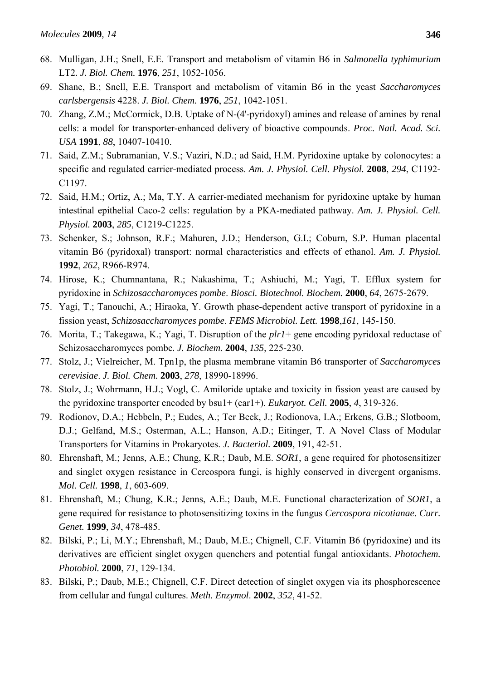- 68. Mulligan, J.H.; Snell, E.E. Transport and metabolism of vitamin B6 in *Salmonella typhimurium* LT2*. J. Biol. Chem.* **1976**, *251*, 1052-1056.
- 69. Shane, B.; Snell, E.E. Transport and metabolism of vitamin B6 in the yeast *Saccharomyces carlsbergensis* 4228. *J. Biol. Chem.* **1976**, *251*, 1042-1051.
- 70. Zhang, Z.M.; McCormick, D.B. Uptake of N-(4'-pyridoxyl) amines and release of amines by renal cells: a model for transporter-enhanced delivery of bioactive compounds. *Proc. Natl. Acad. Sci. USA* **1991**, *88*, 10407-10410.
- 71. Said, Z.M.; Subramanian, V.S.; Vaziri, N.D.; ad Said, H.M. Pyridoxine uptake by colonocytes: a specific and regulated carrier-mediated process. *Am. J. Physiol. Cell. Physiol.* **2008**, *294*, C1192- C1197.
- 72. Said, H.M.; Ortiz, A.; Ma, T.Y. A carrier-mediated mechanism for pyridoxine uptake by human intestinal epithelial Caco-2 cells: regulation by a PKA-mediated pathway. *Am. J. Physiol. Cell. Physiol.* **2003**, *285*, C1219-C1225.
- 73. Schenker, S.; Johnson, R.F.; Mahuren, J.D.; Henderson, G.I.; Coburn, S.P. Human placental vitamin B6 (pyridoxal) transport: normal characteristics and effects of ethanol. *Am. J. Physiol.* **1992**, *262*, R966-R974.
- 74. Hirose, K.; Chumnantana, R.; Nakashima, T.; Ashiuchi, M.; Yagi, T. Efflux system for pyridoxine in *Schizosaccharomyces pombe*. *Biosci. Biotechnol. Biochem.* **2000**, *64*, 2675-2679.
- 75. Yagi, T.; Tanouchi, A.; Hiraoka, Y. Growth phase-dependent active transport of pyridoxine in a fission yeast, *Schizosaccharomyces pombe*. *FEMS Microbiol. Lett.* **1998**,*161*, 145-150.
- 76. Morita, T.; Takegawa, K.; Yagi, T. Disruption of the *plr1*+ gene encoding pyridoxal reductase of Schizosaccharomyces pombe*. J. Biochem.* **2004**, *135*, 225-230.
- 77. Stolz, J.; Vielreicher, M. Tpn1p, the plasma membrane vitamin B6 transporter of *Saccharomyces cerevisiae*. *J. Biol. Chem.* **2003**, *278*, 18990-18996.
- 78. Stolz, J.; Wohrmann, H.J.; Vogl, C. Amiloride uptake and toxicity in fission yeast are caused by the pyridoxine transporter encoded by bsu1+ (car1+). *Eukaryot. Cell.* **2005**, *4*, 319-326.
- 79. Rodionov, D.A.; Hebbeln, P.; Eudes, A.; Ter Beek, J.; Rodionova, I.A.; Erkens, G.B.; Slotboom, D.J.; Gelfand, M.S.; Osterman, A.L.; Hanson, A.D.; Eitinger, T. A Novel Class of Modular Transporters for Vitamins in Prokaryotes. *J. Bacteriol.* **2009**, 191, 42-51.
- 80. Ehrenshaft, M.; Jenns, A.E.; Chung, K.R.; Daub, M.E. *SOR1*, a gene required for photosensitizer and singlet oxygen resistance in Cercospora fungi, is highly conserved in divergent organisms. *Mol. Cell.* **1998**, *1*, 603-609.
- 81. Ehrenshaft, M.; Chung, K.R.; Jenns, A.E.; Daub, M.E. Functional characterization of *SOR1*, a gene required for resistance to photosensitizing toxins in the fungus *Cercospora nicotianae*. *Curr. Genet.* **1999**, *34*, 478-485.
- 82. Bilski, P.; Li, M.Y.; Ehrenshaft, M.; Daub, M.E.; Chignell, C.F. Vitamin B6 (pyridoxine) and its derivatives are efficient singlet oxygen quenchers and potential fungal antioxidants. *Photochem. Photobiol.* **2000**, *71*, 129-134.
- 83. Bilski, P.; Daub, M.E.; Chignell, C.F. Direct detection of singlet oxygen via its phosphorescence from cellular and fungal cultures. *Meth. Enzymol*. **2002**, *352*, 41-52.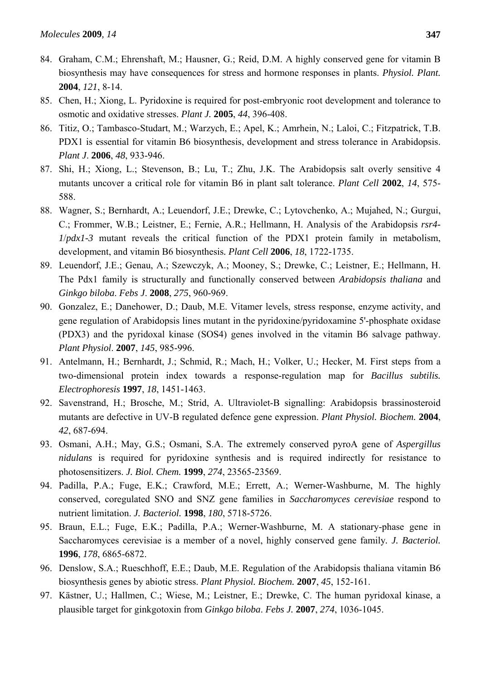- 84. Graham, C.M.; Ehrenshaft, M.; Hausner, G.; Reid, D.M. A highly conserved gene for vitamin B biosynthesis may have consequences for stress and hormone responses in plants. *Physiol. Plant.*  **2004**, *121*, 8-14.
- 85. Chen, H.; Xiong, L. Pyridoxine is required for post-embryonic root development and tolerance to osmotic and oxidative stresses. *Plant J.* **2005**, *44*, 396-408.
- 86. Titiz, O.; Tambasco-Studart, M.; Warzych, E.; Apel, K.; Amrhein, N.; Laloi, C.; Fitzpatrick, T.B. PDX1 is essential for vitamin B6 biosynthesis, development and stress tolerance in Arabidopsis. *Plant J*. **2006**, *48*, 933-946.
- 87. Shi, H.; Xiong, L.; Stevenson, B.; Lu, T.; Zhu, J.K. The Arabidopsis salt overly sensitive 4 mutants uncover a critical role for vitamin B6 in plant salt tolerance. *Plant Cell* **2002**, *14*, 575- 588.
- 88. Wagner, S.; Bernhardt, A.; Leuendorf, J.E.; Drewke, C.; Lytovchenko, A.; Mujahed, N.; Gurgui, C.; Frommer, W.B.; Leistner, E.; Fernie, A.R.; Hellmann, H. Analysis of the Arabidopsis *rsr4- 1*/*pdx1-3* mutant reveals the critical function of the PDX1 protein family in metabolism, development, and vitamin B6 biosynthesis*. Plant Cell* **2006**, *18*, 1722-1735.
- 89. Leuendorf, J.E.; Genau, A.; Szewczyk, A.; Mooney, S.; Drewke, C.; Leistner, E.; Hellmann, H. The Pdx1 family is structurally and functionally conserved between *Arabidopsis thaliana* and *Ginkgo biloba*. *Febs J*. **2008**, *275*, 960-969.
- 90. Gonzalez, E.; Danehower, D.; Daub, M.E. Vitamer levels, stress response, enzyme activity, and gene regulation of Arabidopsis lines mutant in the pyridoxine/pyridoxamine 5'-phosphate oxidase (PDX3) and the pyridoxal kinase (SOS4) genes involved in the vitamin B6 salvage pathway. *Plant Physiol*. **2007**, *145*, 985-996.
- 91. Antelmann, H.; Bernhardt, J.; Schmid, R.; Mach, H.; Volker, U.; Hecker, M. First steps from a two-dimensional protein index towards a response-regulation map for *Bacillus subtilis. Electrophoresis* **1997**, *18*, 1451-1463.
- 92. Savenstrand, H.; Brosche, M.; Strid, A. Ultraviolet-B signalling: Arabidopsis brassinosteroid mutants are defective in UV-B regulated defence gene expression. *Plant Physiol. Biochem.* **2004**, *42*, 687-694.
- 93. Osmani, A.H.; May, G.S.; Osmani, S.A. The extremely conserved pyroA gene of *Aspergillus nidulans* is required for pyridoxine synthesis and is required indirectly for resistance to photosensitizers. *J. Biol. Chem.* **1999**, *274*, 23565-23569.
- 94. Padilla, P.A.; Fuge, E.K.; Crawford, M.E.; Errett, A.; Werner-Washburne, M. The highly conserved, coregulated SNO and SNZ gene families in *Saccharomyces cerevisiae* respond to nutrient limitation. *J. Bacteriol.* **1998**, *180*, 5718-5726.
- 95. Braun, E.L.; Fuge, E.K.; Padilla, P.A.; Werner-Washburne, M. A stationary-phase gene in Saccharomyces cerevisiae is a member of a novel, highly conserved gene family*. J. Bacteriol.* **1996**, *178*, 6865-6872.
- 96. Denslow, S.A.; Rueschhoff, E.E.; Daub, M.E. Regulation of the Arabidopsis thaliana vitamin B6 biosynthesis genes by abiotic stress. *Plant Physiol. Biochem.* **2007**, *45*, 152-161.
- 97. Kästner, U.; Hallmen, C.; Wiese, M.; Leistner, E.; Drewke, C. The human pyridoxal kinase, a plausible target for ginkgotoxin from *Ginkgo biloba*. *Febs J.* **2007**, *274*, 1036-1045.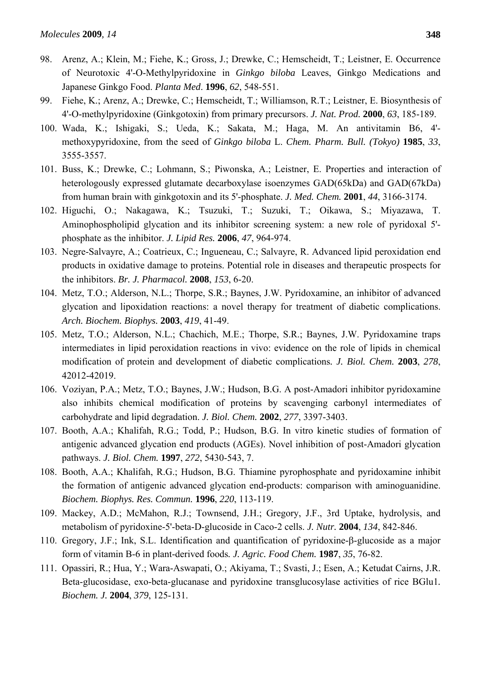- 98. Arenz, A.; Klein, M.; Fiehe, K.; Gross, J.; Drewke, C.; Hemscheidt, T.; Leistner, E. Occurrence of Neurotoxic 4'-O-Methylpyridoxine in *Ginkgo biloba* Leaves, Ginkgo Medications and Japanese Ginkgo Food. *Planta Med*. **1996**, *62*, 548-551.
- 99. Fiehe, K.; Arenz, A.; Drewke, C.; Hemscheidt, T.; Williamson, R.T.; Leistner, E. Biosynthesis of 4'-O-methylpyridoxine (Ginkgotoxin) from primary precursors. *J. Nat. Prod.* **2000**, *63*, 185-189.
- 100. Wada, K.; Ishigaki, S.; Ueda, K.; Sakata, M.; Haga, M. An antivitamin B6, 4' methoxypyridoxine, from the seed of *Ginkgo biloba* L. *Chem. Pharm. Bull. (Tokyo)* **1985**, *33*, 3555-3557.
- 101. Buss, K.; Drewke, C.; Lohmann, S.; Piwonska, A.; Leistner, E. Properties and interaction of heterologously expressed glutamate decarboxylase isoenzymes GAD(65kDa) and GAD(67kDa) from human brain with ginkgotoxin and its 5'-phosphate. *J. Med. Chem.* **2001**, *44*, 3166-3174.
- 102. Higuchi, O.; Nakagawa, K.; Tsuzuki, T.; Suzuki, T.; Oikawa, S.; Miyazawa, T. Aminophospholipid glycation and its inhibitor screening system: a new role of pyridoxal 5' phosphate as the inhibitor. *J. Lipid Res.* **2006**, *47*, 964-974.
- 103. Negre-Salvayre, A.; Coatrieux, C.; Ingueneau, C.; Salvayre, R. Advanced lipid peroxidation end products in oxidative damage to proteins. Potential role in diseases and therapeutic prospects for the inhibitors. *Br. J. Pharmacol.* **2008**, *153*, 6-20.
- 104. Metz, T.O.; Alderson, N.L.; Thorpe, S.R.; Baynes, J.W. Pyridoxamine, an inhibitor of advanced glycation and lipoxidation reactions: a novel therapy for treatment of diabetic complications. *Arch. Biochem. Biophys.* **2003**, *419*, 41-49.
- 105. Metz, T.O.; Alderson, N.L.; Chachich, M.E.; Thorpe, S.R.; Baynes, J.W. Pyridoxamine traps intermediates in lipid peroxidation reactions in vivo: evidence on the role of lipids in chemical modification of protein and development of diabetic complications*. J. Biol. Chem.* **2003**, *278*, 42012-42019.
- 106. Voziyan, P.A.; Metz, T.O.; Baynes, J.W.; Hudson, B.G. A post-Amadori inhibitor pyridoxamine also inhibits chemical modification of proteins by scavenging carbonyl intermediates of carbohydrate and lipid degradation. *J. Biol. Chem.* **2002**, *277*, 3397-3403.
- 107. Booth, A.A.; Khalifah, R.G.; Todd, P.; Hudson, B.G. In vitro kinetic studies of formation of antigenic advanced glycation end products (AGEs). Novel inhibition of post-Amadori glycation pathways. *J. Biol. Chem.* **1997**, *272*, 5430-543, 7.
- 108. Booth, A.A.; Khalifah, R.G.; Hudson, B.G. Thiamine pyrophosphate and pyridoxamine inhibit the formation of antigenic advanced glycation end-products: comparison with aminoguanidine. *Biochem. Biophys. Res. Commun.* **1996**, *220*, 113-119.
- 109. Mackey, A.D.; McMahon, R.J.; Townsend, J.H.; Gregory, J.F., 3rd Uptake, hydrolysis, and metabolism of pyridoxine-5'-beta-D-glucoside in Caco-2 cells. *J. Nutr.* **2004**, *134*, 842-846.
- 110. Gregory, J.F.; Ink, S.L. Identification and quantification of pyridoxine-β-glucoside as a major form of vitamin B-6 in plant-derived foods*. J. Agric. Food Chem.* **1987**, *35*, 76-82.
- 111. Opassiri, R.; Hua, Y.; Wara-Aswapati, O.; Akiyama, T.; Svasti, J.; Esen, A.; Ketudat Cairns, J.R. Beta-glucosidase, exo-beta-glucanase and pyridoxine transglucosylase activities of rice BGlu1*. Biochem. J.* **2004**, *379*, 125-131.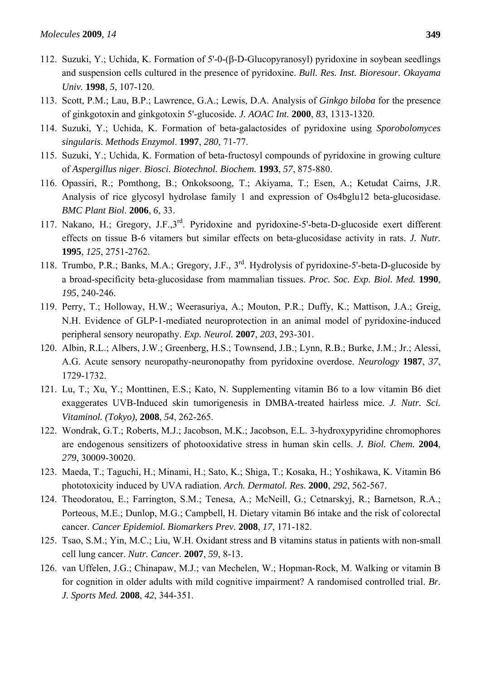- 112. Suzuki, Y.; Uchida, K. Formation of 5'-0-(β-D-Glucopyranosyl) pyridoxine in soybean seedlings and suspension cells cultured in the presence of pyridoxine. *Bull. Res. Inst. Bioresour. Okayama Univ.* **1998**, *5*, 107-120.
- 113. Scott, P.M.; Lau, B.P.; Lawrence, G.A.; Lewis, D.A. Analysis of *Ginkgo biloba* for the presence of ginkgotoxin and ginkgotoxin 5'-glucoside*. J. AOAC Int.* **2000**, *83*, 1313-1320.
- 114. Suzuki, Y.; Uchida, K. Formation of beta-galactosides of pyridoxine using *Sporobolomyces singularis*. *Methods Enzymol*. **1997**, *280*, 71-77.
- 115. Suzuki, Y.; Uchida, K. Formation of beta-fructosyl compounds of pyridoxine in growing culture of *Aspergillus niger*. *Biosci. Biotechnol. Biochem.* **1993**, *57*, 875-880.
- 116. Opassiri, R.; Pomthong, B.; Onkoksoong, T.; Akiyama, T.; Esen, A.; Ketudat Cairns, J.R. Analysis of rice glycosyl hydrolase family 1 and expression of Os4bglu12 beta-glucosidase. *BMC Plant Biol*. **2006**, *6*, 33.
- 117. Nakano, H.; Gregory, J.F.,3rd. Pyridoxine and pyridoxine-5'-beta-D-glucoside exert different effects on tissue B-6 vitamers but similar effects on beta-glucosidase activity in rats. *J. Nutr.* **1995**, *125*, 2751-2762.
- 118. Trumbo, P.R.; Banks, M.A.; Gregory, J.F., 3rd. Hydrolysis of pyridoxine-5'-beta-D-glucoside by a broad-specificity beta-glucosidase from mammalian tissues. *Proc. Soc. Exp. Biol. Med.* **1990**, *195*, 240-246.
- 119. Perry, T.; Holloway, H.W.; Weerasuriya, A.; Mouton, P.R.; Duffy, K.; Mattison, J.A.; Greig, N.H. Evidence of GLP-1-mediated neuroprotection in an animal model of pyridoxine-induced peripheral sensory neuropathy. *Exp. Neurol.* **2007**, *203*, 293-301.
- 120. Albin, R.L.; Albers, J.W.; Greenberg, H.S.; Townsend, J.B.; Lynn, R.B.; Burke, J.M.; Jr.; Alessi, A.G. Acute sensory neuropathy-neuronopathy from pyridoxine overdose. *Neurology* **1987**, *37*, 1729-1732.
- 121. Lu, T.; Xu, Y.; Monttinen, E.S.; Kato, N. Supplementing vitamin B6 to a low vitamin B6 diet exaggerates UVB-Induced skin tumorigenesis in DMBA-treated hairless mice. *J. Nutr. Sci. Vitaminol. (Tokyo),* **2008**, *54*, 262-265.
- 122. Wondrak, G.T.; Roberts, M.J.; Jacobson, M.K.; Jacobson, E.L. 3-hydroxypyridine chromophores are endogenous sensitizers of photooxidative stress in human skin cells. *J. Biol. Chem.* **2004**, *279*, 30009-30020.
- 123. Maeda, T.; Taguchi, H.; Minami, H.; Sato, K.; Shiga, T.; Kosaka, H.; Yoshikawa, K. Vitamin B6 phototoxicity induced by UVA radiation. *Arch. Dermatol. Res.* **2000**, *292*, 562-567.
- 124. Theodoratou, E.; Farrington, S.M.; Tenesa, A.; McNeill, G.; Cetnarskyj, R.; Barnetson, R.A.; Porteous, M.E.; Dunlop, M.G.; Campbell, H. Dietary vitamin B6 intake and the risk of colorectal cancer. *Cancer Epidemiol. Biomarkers Prev.* **2008**, *17*, 171-182.
- 125. Tsao, S.M.; Yin, M.C.; Liu, W.H. Oxidant stress and B vitamins status in patients with non-small cell lung cancer. *Nutr. Cancer.* **2007**, *59*, 8-13.
- 126. van Uffelen, J.G.; Chinapaw, M.J.; van Mechelen, W.; Hopman-Rock, M. Walking or vitamin B for cognition in older adults with mild cognitive impairment? A randomised controlled trial. *Br. J. Sports Med.* **2008**, *42*, 344-351.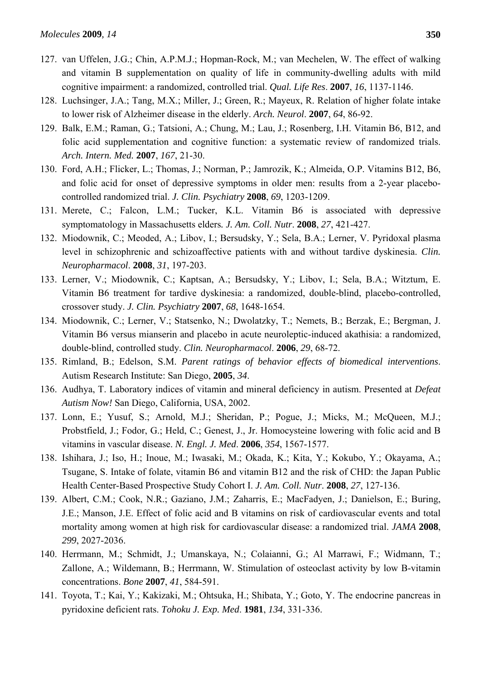- 127. van Uffelen, J.G.; Chin, A.P.M.J.; Hopman-Rock, M.; van Mechelen, W. The effect of walking and vitamin B supplementation on quality of life in community-dwelling adults with mild cognitive impairment: a randomized, controlled trial. *Qual. Life Res*. **2007**, *16*, 1137-1146.
- 128. Luchsinger, J.A.; Tang, M.X.; Miller, J.; Green, R.; Mayeux, R. Relation of higher folate intake to lower risk of Alzheimer disease in the elderly. *Arch. Neurol*. **2007**, *64*, 86-92.
- 129. Balk, E.M.; Raman, G.; Tatsioni, A.; Chung, M.; Lau, J.; Rosenberg, I.H. Vitamin B6, B12, and folic acid supplementation and cognitive function: a systematic review of randomized trials. *Arch. Intern. Med.* **2007**, *167*, 21-30.
- 130. Ford, A.H.; Flicker, L.; Thomas, J.; Norman, P.; Jamrozik, K.; Almeida, O.P. Vitamins B12, B6, and folic acid for onset of depressive symptoms in older men: results from a 2-year placebocontrolled randomized trial. *J. Clin. Psychiatry* **2008**, *69*, 1203-1209.
- 131. Merete, C.; Falcon, L.M.; Tucker, K.L. Vitamin B6 is associated with depressive symptomatology in Massachusetts elders*. J. Am. Coll. Nutr*. **2008**, *27*, 421-427.
- 132. Miodownik, C.; Meoded, A.; Libov, I.; Bersudsky, Y.; Sela, B.A.; Lerner, V. Pyridoxal plasma level in schizophrenic and schizoaffective patients with and without tardive dyskinesia. *Clin. Neuropharmacol*. **2008**, *31*, 197-203.
- 133. Lerner, V.; Miodownik, C.; Kaptsan, A.; Bersudsky, Y.; Libov, I.; Sela, B.A.; Witztum, E. Vitamin B6 treatment for tardive dyskinesia: a randomized, double-blind, placebo-controlled, crossover study. *J. Clin. Psychiatry* **2007**, *68*, 1648-1654.
- 134. Miodownik, C.; Lerner, V.; Statsenko, N.; Dwolatzky, T.; Nemets, B.; Berzak, E.; Bergman, J. Vitamin B6 versus mianserin and placebo in acute neuroleptic-induced akathisia: a randomized, double-blind, controlled study. *Clin. Neuropharmacol*. **2006**, *29*, 68-72.
- 135. Rimland, B.; Edelson, S.M. *Parent ratings of behavior effects of biomedical interventions*. Autism Research Institute: San Diego, **2005**, *34*.
- 136. Audhya, T. Laboratory indices of vitamin and mineral deficiency in autism. Presented at *Defeat Autism Now!* San Diego, California, USA, 2002.
- 137. Lonn, E.; Yusuf, S.; Arnold, M.J.; Sheridan, P.; Pogue, J.; Micks, M.; McQueen, M.J.; Probstfield, J.; Fodor, G.; Held, C.; Genest, J., Jr. Homocysteine lowering with folic acid and B vitamins in vascular disease. *N. Engl. J. Med*. **2006**, *354*, 1567-1577.
- 138. Ishihara, J.; Iso, H.; Inoue, M.; Iwasaki, M.; Okada, K.; Kita, Y.; Kokubo, Y.; Okayama, A.; Tsugane, S. Intake of folate, vitamin B6 and vitamin B12 and the risk of CHD: the Japan Public Health Center-Based Prospective Study Cohort I. *J. Am. Coll. Nutr*. **2008**, *27*, 127-136.
- 139. Albert, C.M.; Cook, N.R.; Gaziano, J.M.; Zaharris, E.; MacFadyen, J.; Danielson, E.; Buring, J.E.; Manson, J.E. Effect of folic acid and B vitamins on risk of cardiovascular events and total mortality among women at high risk for cardiovascular disease: a randomized trial. *JAMA* **2008**, *299*, 2027-2036.
- 140. Herrmann, M.; Schmidt, J.; Umanskaya, N.; Colaianni, G.; Al Marrawi, F.; Widmann, T.; Zallone, A.; Wildemann, B.; Herrmann, W. Stimulation of osteoclast activity by low B-vitamin concentrations. *Bone* **2007**, *41*, 584-591.
- 141. Toyota, T.; Kai, Y.; Kakizaki, M.; Ohtsuka, H.; Shibata, Y.; Goto, Y. The endocrine pancreas in pyridoxine deficient rats. *Tohoku J. Exp. Med*. **1981**, *134*, 331-336.